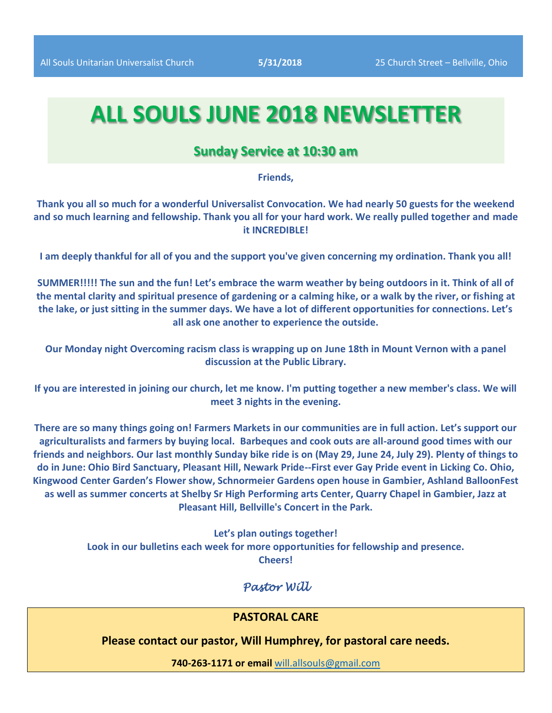# **ALL SOULS JUNE 2018 NEWSLETTER**

### **Sunday Service at 10:30 am**

#### **Friends,**

**Thank you all so much for a wonderful Universalist Convocation. We had nearly 50 guests for the weekend and so much learning and fellowship. Thank you all for your hard work. We really pulled together and made it INCREDIBLE!** 

**I am deeply thankful for all of you and the support you've given concerning my ordination. Thank you all!** 

**SUMMER!!!!! The sun and the fun! Let's embrace the warm weather by being outdoors in it. Think of all of the mental clarity and spiritual presence of gardening or a calming hike, or a walk by the river, or fishing at the lake, or just sitting in the summer days. We have a lot of different opportunities for connections. Let's all ask one another to experience the outside.** 

**Our Monday night Overcoming racism class is wrapping up on June 18th in Mount Vernon with a panel discussion at the Public Library.** 

**If you are interested in joining our church, let me know. I'm putting together a new member's class. We will meet 3 nights in the evening.** 

**There are so many things going on! Farmers Markets in our communities are in full action. Let's support our agriculturalists and farmers by buying local. Barbeques and cook outs are all-around good times with our friends and neighbors. Our last monthly Sunday bike ride is on (May 29, June 24, July 29). Plenty of things to do in June: Ohio Bird Sanctuary, Pleasant Hill, Newark Pride--First ever Gay Pride event in Licking Co. Ohio, Kingwood Center Garden's Flower show, Schnormeier Gardens open house in Gambier, Ashland BalloonFest as well as summer concerts at Shelby Sr High Performing arts Center, Quarry Chapel in Gambier, Jazz at Pleasant Hill, Bellville's Concert in the Park.** 

> **Let's plan outings together! Look in our bulletins each week for more opportunities for fellowship and presence. Cheers!**

### *Pastor Will*

#### **PASTORAL CARE**

**Please contact our pastor, Will Humphrey, for pastoral care needs.**

**740-263-1171 or email** [will.allsouls@gmail.com](mailto:will.allsouls@gmail.com)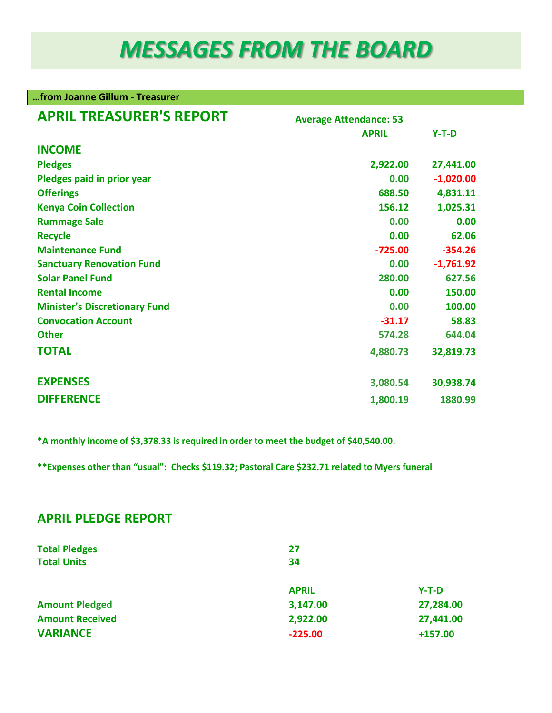# *MESSAGES FROM THE BOARD*

| from Joanne Gillum - Treasurer       |                               |             |  |  |  |  |
|--------------------------------------|-------------------------------|-------------|--|--|--|--|
| <b>APRIL TREASURER'S REPORT</b>      | <b>Average Attendance: 53</b> |             |  |  |  |  |
|                                      | <b>APRIL</b>                  | $Y-T-D$     |  |  |  |  |
| <b>INCOME</b>                        |                               |             |  |  |  |  |
| <b>Pledges</b>                       | 2,922.00                      | 27,441.00   |  |  |  |  |
| Pledges paid in prior year           | 0.00                          | $-1,020.00$ |  |  |  |  |
| <b>Offerings</b>                     | 688.50                        | 4,831.11    |  |  |  |  |
| <b>Kenya Coin Collection</b>         | 156.12                        | 1,025.31    |  |  |  |  |
| <b>Rummage Sale</b>                  | 0.00                          | 0.00        |  |  |  |  |
| <b>Recycle</b>                       | 0.00                          | 62.06       |  |  |  |  |
| <b>Maintenance Fund</b>              | $-725.00$                     | $-354.26$   |  |  |  |  |
| <b>Sanctuary Renovation Fund</b>     | 0.00                          | $-1,761.92$ |  |  |  |  |
| <b>Solar Panel Fund</b>              | 280.00                        | 627.56      |  |  |  |  |
| <b>Rental Income</b>                 | 0.00                          | 150.00      |  |  |  |  |
| <b>Minister's Discretionary Fund</b> | 0.00                          | 100.00      |  |  |  |  |
| <b>Convocation Account</b>           | $-31.17$                      | 58.83       |  |  |  |  |
| <b>Other</b>                         | 574.28                        | 644.04      |  |  |  |  |
| <b>TOTAL</b>                         | 4,880.73                      | 32,819.73   |  |  |  |  |
| <b>EXPENSES</b>                      | 3,080.54                      | 30,938.74   |  |  |  |  |
| <b>DIFFERENCE</b>                    | 1,800.19                      | 1880.99     |  |  |  |  |

**\*A monthly income of \$3,378.33 is required in order to meet the budget of \$40,540.00.**

**\*\*Expenses other than "usual": Checks \$119.32; Pastoral Care \$232.71 related to Myers funeral** 

## **APRIL PLEDGE REPORT**

| <b>Total Pledges</b><br><b>Total Units</b> | 27<br>34     |           |  |  |
|--------------------------------------------|--------------|-----------|--|--|
|                                            | <b>APRIL</b> | $Y-T-D$   |  |  |
| <b>Amount Pledged</b>                      | 3,147.00     | 27,284.00 |  |  |
| <b>Amount Received</b>                     | 2,922.00     | 27,441.00 |  |  |
| <b>VARIANCE</b>                            | $-225.00$    | $+157.00$ |  |  |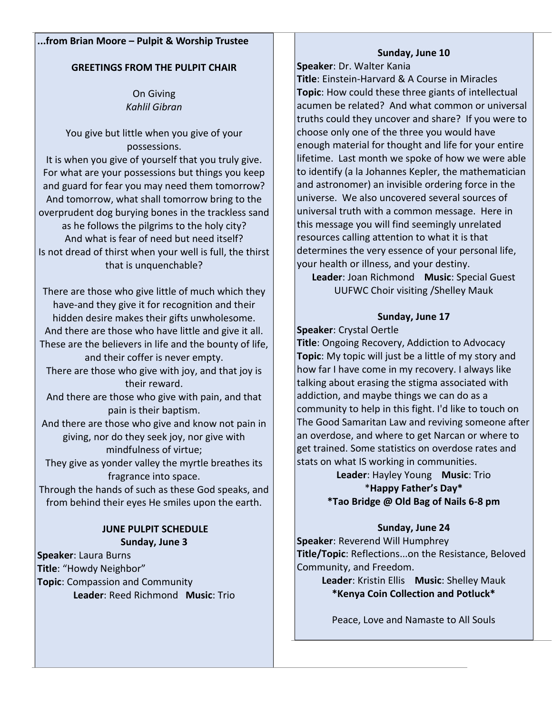#### **...from Brian Moore – Pulpit & Worship Trustee**

#### **GREETINGS FROM THE PULPIT CHAIR**

On Giving *Kahlil Gibran*

You give but little when you give of your possessions. It is when you give of yourself that you truly give. For what are your possessions but things you keep and guard for fear you may need them tomorrow? And tomorrow, what shall tomorrow bring to the overprudent dog burying bones in the trackless sand as he follows the pilgrims to the holy city? And what is fear of need but need itself? Is not dread of thirst when your well is full, the thirst that is unquenchable?

There are those who give little of much which they have-and they give it for recognition and their hidden desire makes their gifts unwholesome. And there are those who have little and give it all. These are the believers in life and the bounty of life, and their coffer is never empty.

There are those who give with joy, and that joy is their reward.

And there are those who give with pain, and that pain is their baptism.

And there are those who give and know not pain in giving, nor do they seek joy, nor give with mindfulness of virtue;

They give as yonder valley the myrtle breathes its fragrance into space.

Through the hands of such as these God speaks, and from behind their eyes He smiles upon the earth.

#### **JUNE PULPIT SCHEDULE Sunday, June 3**

**Speaker**: Laura Burns **Title**: "Howdy Neighbor" **Topic**: Compassion and Community **Leader**: Reed Richmond **Music**: Trio

#### **Sunday, June 10**

**Speaker**: Dr. Walter Kania **Title**: Einstein-Harvard & A Course in Miracles **Topic**: How could these three giants of intellectual acumen be related? And what common or universal truths could they uncover and share? If you were to choose only one of the three you would have enough material for thought and life for your entire lifetime. Last month we spoke of how we were able to identify (a la Johannes Kepler, the mathematician and astronomer) an invisible ordering force in the universe. We also uncovered several sources of universal truth with a common message. Here in this message you will find seemingly unrelated resources calling attention to what it is that determines the very essence of your personal life, your health or illness, and your destiny.

**Leader**: Joan Richmond **Music**: Special Guest UUFWC Choir visiting /Shelley Mauk

### **Sunday, June 17**

**Speaker**: Crystal Oertle

**Title**: Ongoing Recovery, Addiction to Advocacy **Topic**: My topic will just be a little of my story and how far I have come in my recovery. I always like talking about erasing the stigma associated with addiction, and maybe things we can do as a community to help in this fight. I'd like to touch on The Good Samaritan Law and reviving someone after an overdose, and where to get Narcan or where to get trained. Some statistics on overdose rates and stats on what IS working in communities.

**Leader**: Hayley Young **Music**: Trio \***Happy Father's Day\* \*Tao Bridge @ Old Bag of Nails 6-8 pm**

#### **Sunday, June 24**

**Speaker**: Reverend Will Humphrey **Title/Topic**: Reflections...on the Resistance, Beloved Community, and Freedom.

> **Leader**: Kristin Ellis **Music**: Shelley Mauk **\*Kenya Coin Collection and Potluck\***

Peace, Love and Namaste to All Souls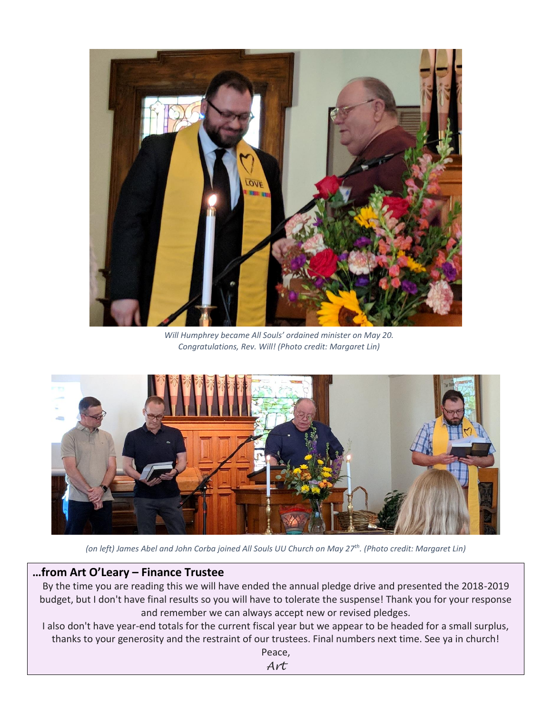

*Will Humphrey became All Souls' ordained minister on May 20. Congratulations, Rev. Will! (Photo credit: Margaret Lin)*



*(on left) James Abel and John Corba joined All Souls UU Church on May 27th. (Photo credit: Margaret Lin)*

## **…from Art O'Leary – Finance Trustee**

By the time you are reading this we will have ended the annual pledge drive and presented the 2018-2019 budget, but I don't have final results so you will have to tolerate the suspense! Thank you for your response and remember we can always accept new or revised pledges.

I also don't have year-end totals for the current fiscal year but we appear to be headed for a small surplus, thanks to your generosity and the restraint of our trustees. Final numbers next time. See ya in church!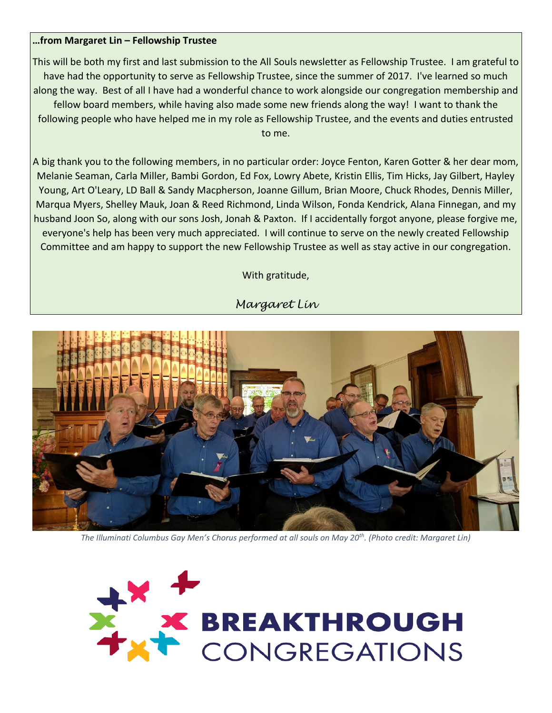#### **…from Margaret Lin – Fellowship Trustee**

This will be both my first and last submission to the All Souls newsletter as Fellowship Trustee. I am grateful to have had the opportunity to serve as Fellowship Trustee, since the summer of 2017. I've learned so much along the way. Best of all I have had a wonderful chance to work alongside our congregation membership and fellow board members, while having also made some new friends along the way! I want to thank the following people who have helped me in my role as Fellowship Trustee, and the events and duties entrusted to me.

A big thank you to the following members, in no particular order: Joyce Fenton, Karen Gotter & her dear mom, Melanie Seaman, Carla Miller, Bambi Gordon, Ed Fox, Lowry Abete, Kristin Ellis, Tim Hicks, Jay Gilbert, Hayley Young, Art O'Leary, LD Ball & Sandy Macpherson, Joanne Gillum, Brian Moore, Chuck Rhodes, Dennis Miller, Marqua Myers, Shelley Mauk, Joan & Reed Richmond, Linda Wilson, Fonda Kendrick, Alana Finnegan, and my husband Joon So, along with our sons Josh, Jonah & Paxton. If I accidentally forgot anyone, please forgive me, everyone's help has been very much appreciated. I will continue to serve on the newly created Fellowship Committee and am happy to support the new Fellowship Trustee as well as stay active in our congregation.

With gratitude,





*The Illuminati Columbus Gay Men's Chorus performed at all souls on May 20th . (Photo credit: Margaret Lin)*